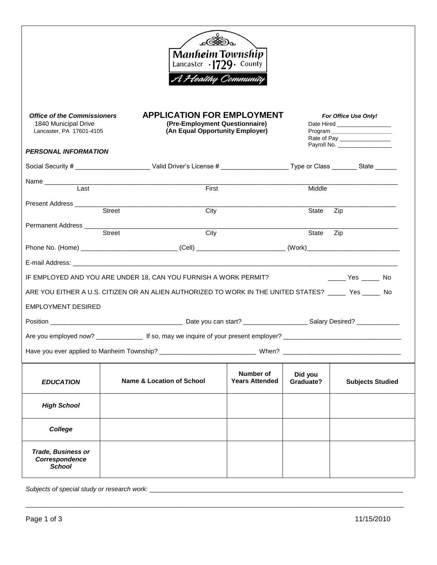| Manheim Township<br>Lancaster $\cdot$ 1729 $\cdot$ County<br>A Heatthy Community                               |        |                                                                                                                                     |                                    |                                                                                                                          |                                                  |
|----------------------------------------------------------------------------------------------------------------|--------|-------------------------------------------------------------------------------------------------------------------------------------|------------------------------------|--------------------------------------------------------------------------------------------------------------------------|--------------------------------------------------|
| <b>Office of the Commissioners</b><br>1840 Municipal Drive<br>Lancaster, PA 17601-4105                         |        | <b>APPLICATION FOR EMPLOYMENT</b><br>(Pre-Employment Questionnaire)<br>(An Equal Opportunity Employer)                              |                                    | For Office Use Only!<br>Date Hired ___________________<br>Program ____________________<br>Rate of Pay __________________ |                                                  |
| <b>PERSONAL INFORMATION</b>                                                                                    |        |                                                                                                                                     |                                    |                                                                                                                          |                                                  |
|                                                                                                                |        | Social Security # __________________________Valid Driver's License # _________________________Type or Class __________State _______ |                                    |                                                                                                                          |                                                  |
| Name ___________                                                                                               |        |                                                                                                                                     |                                    |                                                                                                                          |                                                  |
| Last                                                                                                           |        | <u> 1980 - Jan James James Jan James James James James James James James James James James James James James Jam</u><br>First       |                                    | Middle                                                                                                                   |                                                  |
|                                                                                                                |        |                                                                                                                                     |                                    |                                                                                                                          |                                                  |
|                                                                                                                | Street | City                                                                                                                                |                                    | State                                                                                                                    | Zip                                              |
| Permanent Address __________                                                                                   | Street | City                                                                                                                                |                                    | State Zip                                                                                                                |                                                  |
|                                                                                                                |        |                                                                                                                                     |                                    |                                                                                                                          |                                                  |
|                                                                                                                |        |                                                                                                                                     |                                    |                                                                                                                          |                                                  |
|                                                                                                                |        | IF EMPLOYED AND YOU ARE UNDER 18, CAN YOU FURNISH A WORK PERMIT?                                                                    |                                    |                                                                                                                          | $\rule{1em}{0.15mm}$ Yes $\rule{1em}{0.15mm}$ No |
|                                                                                                                |        |                                                                                                                                     |                                    |                                                                                                                          |                                                  |
|                                                                                                                |        | ARE YOU EITHER A U.S. CITIZEN OR AN ALIEN AUTHORIZED TO WORK IN THE UNITED STATES? _____ Yes _____ No                               |                                    |                                                                                                                          |                                                  |
| <b>EMPLOYMENT DESIRED</b>                                                                                      |        |                                                                                                                                     |                                    |                                                                                                                          |                                                  |
|                                                                                                                |        |                                                                                                                                     |                                    |                                                                                                                          |                                                  |
|                                                                                                                |        |                                                                                                                                     |                                    |                                                                                                                          |                                                  |
| Have you ever applied to Manheim Township? ________________________________When? _____________________________ |        |                                                                                                                                     |                                    |                                                                                                                          |                                                  |
| <b>EDUCATION</b>                                                                                               |        | <b>Name &amp; Location of School</b>                                                                                                | Number of<br><b>Years Attended</b> | Did you<br>Graduate?                                                                                                     | <b>Subjects Studied</b>                          |
| <b>High School</b>                                                                                             |        |                                                                                                                                     |                                    |                                                                                                                          |                                                  |
| College                                                                                                        |        |                                                                                                                                     |                                    |                                                                                                                          |                                                  |
| <b>Trade, Business or</b><br>Correspondence<br><b>School</b>                                                   |        |                                                                                                                                     |                                    |                                                                                                                          |                                                  |

\_\_\_\_\_\_\_\_\_\_\_\_\_\_\_\_\_\_\_\_\_\_\_\_\_\_\_\_\_\_\_\_\_\_\_\_\_\_\_\_\_\_\_\_\_\_\_\_\_\_\_\_\_\_\_\_\_\_\_\_\_\_\_\_\_\_\_\_\_\_\_\_\_\_\_\_\_\_\_\_\_\_\_\_\_\_\_\_\_\_\_\_\_\_\_\_\_\_\_\_\_\_\_\_\_\_

*Subjects of special study or research work:* \_\_\_\_\_\_\_\_\_\_\_\_\_\_\_\_\_\_\_\_\_\_\_\_\_\_\_\_\_\_\_\_\_\_\_\_\_\_\_\_\_\_\_\_\_\_\_\_\_\_\_\_\_\_\_\_\_\_\_\_\_\_\_\_\_\_\_\_\_\_\_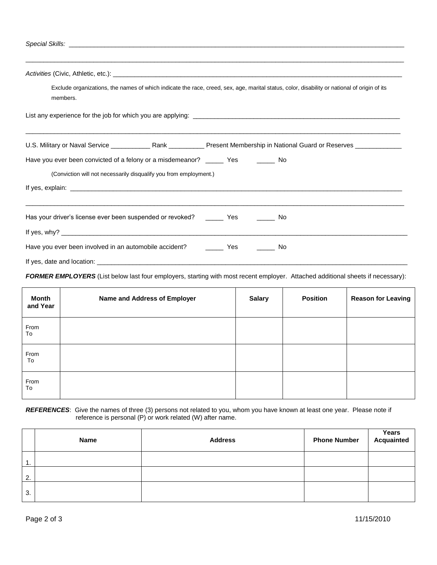| ,我们也不能会在这里,我们也不能会在这里,我们也不能会在这里,我们也不能会不能会不能会不能会不能会不能会不能会。""我们,我们也不能会不能会不能会不能会不能会不                                                                         |  |  |  |  |
|----------------------------------------------------------------------------------------------------------------------------------------------------------|--|--|--|--|
| Exclude organizations, the names of which indicate the race, creed, sex, age, marital status, color, disability or national of origin of its<br>members. |  |  |  |  |
|                                                                                                                                                          |  |  |  |  |
|                                                                                                                                                          |  |  |  |  |
| Have you ever been convicted of a felony or a misdemeanor? _______ Yes _________ No<br>(Conviction will not necessarily disqualify you from employment.) |  |  |  |  |
|                                                                                                                                                          |  |  |  |  |
| Has your driver's license ever been suspended or revoked? _________ Yes __________ No                                                                    |  |  |  |  |
|                                                                                                                                                          |  |  |  |  |
| Have you ever been involved in an automobile accident? __________ Yes __________ No                                                                      |  |  |  |  |
|                                                                                                                                                          |  |  |  |  |

*FORMER EMPLOYERS* (List below last four employers, starting with most recent employer. Attached additional sheets if necessary):

| <b>Month</b><br>and Year | Name and Address of Employer | <b>Salary</b> | <b>Position</b> | <b>Reason for Leaving</b> |
|--------------------------|------------------------------|---------------|-----------------|---------------------------|
| From<br>To               |                              |               |                 |                           |
| From<br>To               |                              |               |                 |                           |
| From<br>To               |                              |               |                 |                           |

*REFERENCES*: Give the names of three (3) persons not related to you, whom you have known at least one year. Please note if reference is personal (P) or work related (W) after name.

|     | Name | <b>Address</b> | <b>Phone Number</b> | Years<br>Acquainted |
|-----|------|----------------|---------------------|---------------------|
| . . |      |                |                     |                     |
| 2.  |      |                |                     |                     |
| 3.  |      |                |                     |                     |